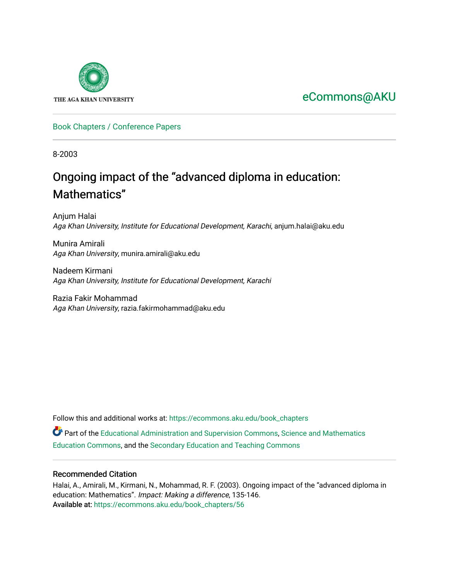

## [eCommons@AKU](https://ecommons.aku.edu/)

#### [Book Chapters / Conference Papers](https://ecommons.aku.edu/book_chapters)

8-2003

# Ongoing impact of the "advanced diploma in education: Mathematics"

Anjum Halai Aga Khan University, Institute for Educational Development, Karachi, anjum.halai@aku.edu

Munira Amirali Aga Khan University, munira.amirali@aku.edu

Nadeem Kirmani Aga Khan University, Institute for Educational Development, Karachi

Razia Fakir Mohammad Aga Khan University, razia.fakirmohammad@aku.edu

Follow this and additional works at: [https://ecommons.aku.edu/book\\_chapters](https://ecommons.aku.edu/book_chapters?utm_source=ecommons.aku.edu%2Fbook_chapters%2F56&utm_medium=PDF&utm_campaign=PDFCoverPages) 

Part of the [Educational Administration and Supervision Commons](http://network.bepress.com/hgg/discipline/787?utm_source=ecommons.aku.edu%2Fbook_chapters%2F56&utm_medium=PDF&utm_campaign=PDFCoverPages), [Science and Mathematics](http://network.bepress.com/hgg/discipline/800?utm_source=ecommons.aku.edu%2Fbook_chapters%2F56&utm_medium=PDF&utm_campaign=PDFCoverPages)  [Education Commons,](http://network.bepress.com/hgg/discipline/800?utm_source=ecommons.aku.edu%2Fbook_chapters%2F56&utm_medium=PDF&utm_campaign=PDFCoverPages) and the [Secondary Education and Teaching Commons](http://network.bepress.com/hgg/discipline/809?utm_source=ecommons.aku.edu%2Fbook_chapters%2F56&utm_medium=PDF&utm_campaign=PDFCoverPages)

#### Recommended Citation

Halai, A., Amirali, M., Kirmani, N., Mohammad, R. F. (2003). Ongoing impact of the "advanced diploma in education: Mathematics". Impact: Making a difference, 135-146. Available at: [https://ecommons.aku.edu/book\\_chapters/56](https://ecommons.aku.edu/book_chapters/56)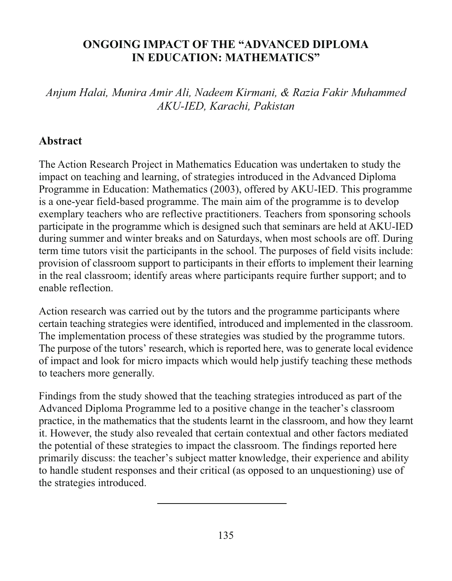#### **ONGOING IMPACT OF THE "ADVANCED DIPLOMA IN EDUCATION: MATHEMATICS"**

Anjum Halai, Munira Amir Ali, Nadeem Kirmani, & Razia Fakir Muhammed AKU-IED, Karachi, Pakistan

#### Abstract

The Action Research Project in Mathematics Education was undertaken to study the impact on teaching and learning, of strategies introduced in the Advanced Diploma Programme in Education: Mathematics (2003), offered by AKU-IED. This programme is a one-year field-based programme. The main aim of the programme is to develop exemplary teachers who are reflective practitioners. Teachers from sponsoring schools participate in the programme which is designed such that seminars are held at AKU-IED during summer and winter breaks and on Saturdays, when most schools are off. During term time tutors visit the participants in the school. The purposes of field visits include: provision of classroom support to participants in their efforts to implement their learning in the real classroom; identify areas where participants require further support; and to enable reflection.

Action research was carried out by the tutors and the programme participants where certain teaching strategies were identified, introduced and implemented in the classroom. The implementation process of these strategies was studied by the programme tutors. The purpose of the tutors' research, which is reported here, was to generate local evidence of impact and look for micro impacts which would help justify teaching these methods to teachers more generally.

Findings from the study showed that the teaching strategies introduced as part of the Advanced Diploma Programme led to a positive change in the teacher's classroom practice, in the mathematics that the students learnt in the classroom, and how they learnt it. However, the study also revealed that certain contextual and other factors mediated the potential of these strategies to impact the classroom. The findings reported here primarily discuss: the teacher's subject matter knowledge, their experience and ability to handle student responses and their critical (as opposed to an unquestioning) use of the strategies introduced.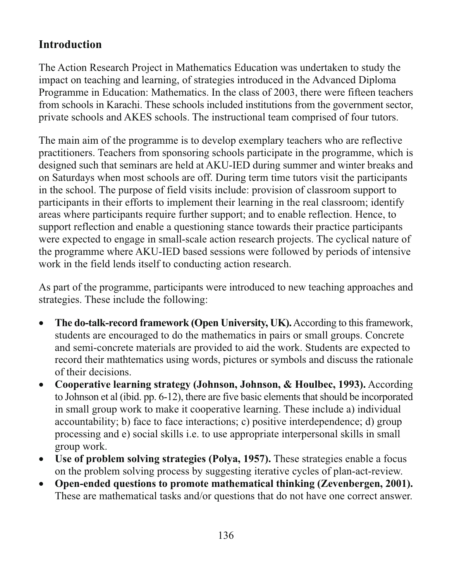#### **Introduction**

The Action Research Project in Mathematics Education was undertaken to study the impact on teaching and learning, of strategies introduced in the Advanced Diploma Programme in Education: Mathematics. In the class of 2003, there were fifteen teachers from schools in Karachi. These schools included institutions from the government sector, private schools and AKES schools. The instructional team comprised of four tutors.

The main aim of the programme is to develop exemplary teachers who are reflective practitioners. Teachers from sponsoring schools participate in the programme, which is designed such that seminars are held at AKU-IED during summer and winter breaks and on Saturdays when most schools are off. During term time tutors visit the participants in the school. The purpose of field visits include: provision of classroom support to participants in their efforts to implement their learning in the real classroom; identify areas where participants require further support; and to enable reflection. Hence, to support reflection and enable a questioning stance towards their practice participants were expected to engage in small-scale action research projects. The cyclical nature of the programme where AKU-IED based sessions were followed by periods of intensive work in the field lends itself to conducting action research.

As part of the programme, participants were introduced to new teaching approaches and strategies. These include the following:

- The do-talk-record framework (Open University, UK). According to this framework,  $\bullet$ students are encouraged to do the mathematics in pairs or small groups. Concrete and semi-concrete materials are provided to aid the work. Students are expected to record their mathematics using words, pictures or symbols and discuss the rationale of their decisions.
- **Cooperative learning strategy (Johnson, Johnson, & Houlbec, 1993).** According  $\bullet$ to Johnson et al (ibid. pp. 6-12), there are five basic elements that should be incorporated in small group work to make it cooperative learning. These include a) individual accountability; b) face to face interactions; c) positive interdependence; d) group processing and e) social skills i.e. to use appropriate interpersonal skills in small group work.
- Use of problem solving strategies (Polya, 1957). These strategies enable a focus  $\bullet$ on the problem solving process by suggesting iterative cycles of plan-act-review.
- Open-ended questions to promote mathematical thinking (Zevenbergen, 2001).  $\bullet$ These are mathematical tasks and/or questions that do not have one correct answer.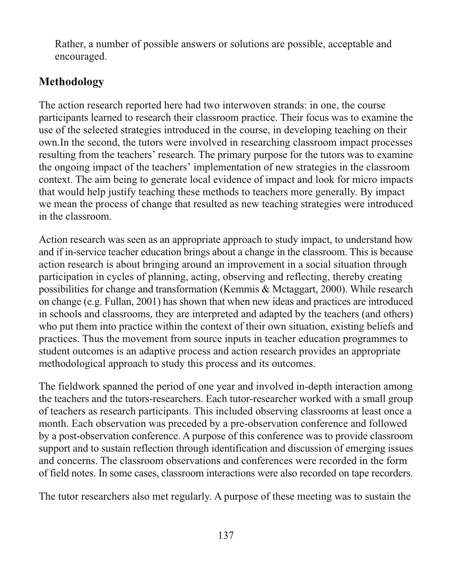Rather, a number of possible answers or solutions are possible, acceptable and encouraged.

#### Methodology

The action research reported here had two interwoven strands: in one, the course participants learned to research their classroom practice. Their focus was to examine the use of the selected strategies introduced in the course, in developing teaching on their own. In the second, the tutors were involved in researching classroom impact processes resulting from the teachers' research. The primary purpose for the tutors was to examine the ongoing impact of the teachers' implementation of new strategies in the classroom context. The aim being to generate local evidence of impact and look for micro impacts that would help justify teaching these methods to teachers more generally. By impact we mean the process of change that resulted as new teaching strategies were introduced in the classroom.

Action research was seen as an appropriate approach to study impact, to understand how and if in-service teacher education brings about a change in the classroom. This is because action research is about bringing around an improvement in a social situation through participation in cycles of planning, acting, observing and reflecting, thereby creating possibilities for change and transformation (Kemmis & Mctaggart, 2000). While research on change (e.g. Fullan, 2001) has shown that when new ideas and practices are introduced in schools and classrooms, they are interpreted and adapted by the teachers (and others) who put them into practice within the context of their own situation, existing beliefs and practices. Thus the movement from source inputs in teacher education programmes to student outcomes is an adaptive process and action research provides an appropriate methodological approach to study this process and its outcomes.

The fieldwork spanned the period of one year and involved in-depth interaction among the teachers and the tutors-researchers. Each tutor-researcher worked with a small group of teachers as research participants. This included observing classrooms at least once a month. Each observation was preceded by a pre-observation conference and followed by a post-observation conference. A purpose of this conference was to provide classroom support and to sustain reflection through identification and discussion of emerging issues and concerns. The classroom observations and conferences were recorded in the form of field notes. In some cases, classroom interactions were also recorded on tape recorders.

The tutor researchers also met regularly. A purpose of these meeting was to sustain the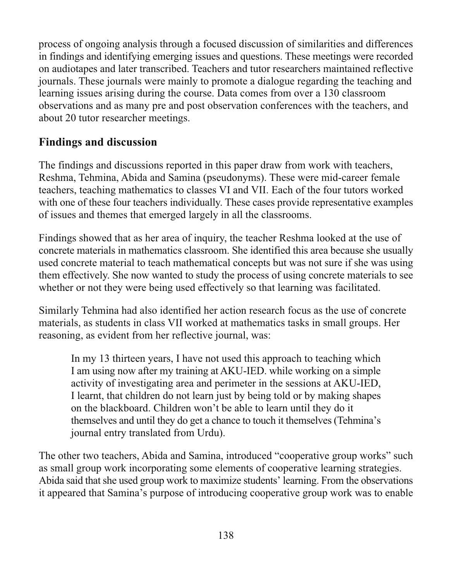process of ongoing analysis through a focused discussion of similarities and differences in findings and identifying emerging issues and questions. These meetings were recorded on audiotapes and later transcribed. Teachers and tutor researchers maintained reflective journals. These journals were mainly to promote a dialogue regarding the teaching and learning issues arising during the course. Data comes from over a 130 classroom observations and as many pre and post observation conferences with the teachers, and about 20 tutor researcher meetings.

#### **Findings and discussion**

The findings and discussions reported in this paper draw from work with teachers, Reshma, Tehmina, Abida and Samina (pseudonyms). These were mid-career female teachers, teaching mathematics to classes VI and VII. Each of the four tutors worked with one of these four teachers individually. These cases provide representative examples of issues and themes that emerged largely in all the classrooms.

Findings showed that as her area of inquiry, the teacher Reshma looked at the use of concrete materials in mathematics classroom. She identified this area because she usually used concrete material to teach mathematical concepts but was not sure if she was using them effectively. She now wanted to study the process of using concrete materials to see whether or not they were being used effectively so that learning was facilitated.

Similarly Tehmina had also identified her action research focus as the use of concrete materials, as students in class VII worked at mathematics tasks in small groups. Her reasoning, as evident from her reflective journal, was:

In my 13 thirteen years, I have not used this approach to teaching which I am using now after my training at AKU-IED, while working on a simple activity of investigating area and perimeter in the sessions at AKU-IED, I learnt, that children do not learn just by being told or by making shapes on the blackboard. Children won't be able to learn until they do it themselves and until they do get a chance to touch it themselves (Tehmina's journal entry translated from Urdu).

The other two teachers, Abida and Samina, introduced "cooperative group works" such as small group work incorporating some elements of cooperative learning strategies. Abida said that she used group work to maximize students' learning. From the observations it appeared that Samina's purpose of introducing cooperative group work was to enable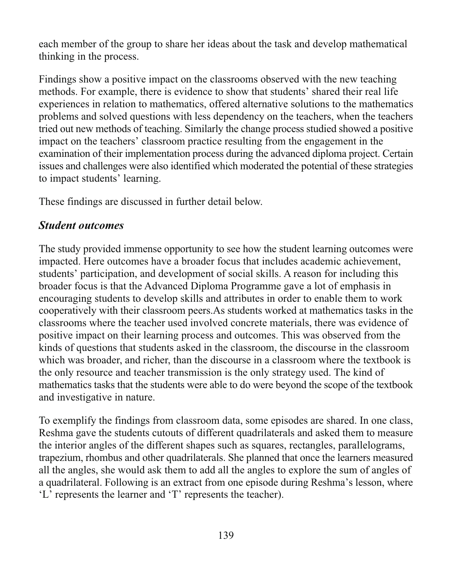each member of the group to share her ideas about the task and develop mathematical thinking in the process.

Findings show a positive impact on the classrooms observed with the new teaching methods. For example, there is evidence to show that students' shared their real life experiences in relation to mathematics, offered alternative solutions to the mathematics problems and solved questions with less dependency on the teachers, when the teachers tried out new methods of teaching. Similarly the change process studied showed a positive impact on the teachers' classroom practice resulting from the engagement in the examination of their implementation process during the advanced diploma project. Certain issues and challenges were also identified which moderated the potential of these strategies to impact students' learning.

These findings are discussed in further detail below.

#### **Student outcomes**

The study provided immense opportunity to see how the student learning outcomes were impacted. Here outcomes have a broader focus that includes academic achievement, students' participation, and development of social skills. A reason for including this broader focus is that the Advanced Diploma Programme gave a lot of emphasis in encouraging students to develop skills and attributes in order to enable them to work cooperatively with their classroom peers. As students worked at mathematics tasks in the classrooms where the teacher used involved concrete materials, there was evidence of positive impact on their learning process and outcomes. This was observed from the kinds of questions that students asked in the classroom, the discourse in the classroom which was broader, and richer, than the discourse in a classroom where the textbook is the only resource and teacher transmission is the only strategy used. The kind of mathematics tasks that the students were able to do were beyond the scope of the textbook and investigative in nature.

To exemplify the findings from classroom data, some episodes are shared. In one class, Reshma gave the students cutouts of different quadrilaterals and asked them to measure the interior angles of the different shapes such as squares, rectangles, parallelograms, trapezium, rhombus and other quadrilaterals. She planned that once the learners measured all the angles, she would ask them to add all the angles to explore the sum of angles of a quadrilateral. Following is an extract from one episode during Reshma's lesson, where 'L' represents the learner and 'T' represents the teacher).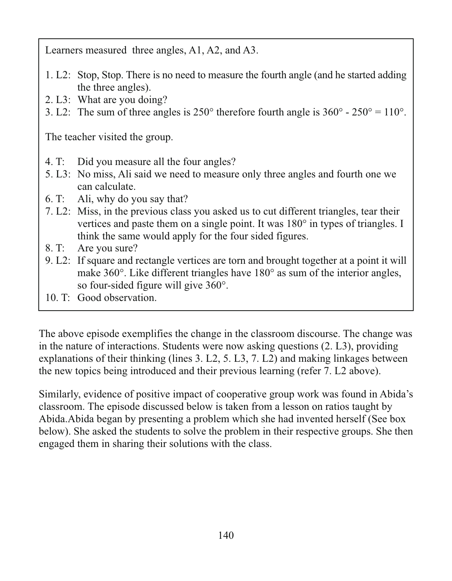Learners measured three angles, A1, A2, and A3.

- 1. L2: Stop, Stop. There is no need to measure the fourth angle (and he started adding the three angles).
- 2. L3: What are you doing?
- 3. L2: The sum of three angles is  $250^{\circ}$  therefore fourth angle is  $360^{\circ}$   $250^{\circ}$  = 110°.

The teacher visited the group.

- $4. T:$ Did you measure all the four angles?
- 5. L3: No miss, Ali said we need to measure only three angles and fourth one we can calculate.
- 6. T: Ali, why do you say that?
- 7. L2: Miss, in the previous class you asked us to cut different triangles, tear their vertices and paste them on a single point. It was 180° in types of triangles. I think the same would apply for the four sided figures.
- 8. T: Are you sure?
- 9. L2: If square and rectangle vertices are torn and brought together at a point it will make 360°. Like different triangles have 180° as sum of the interior angles, so four-sided figure will give  $360^\circ$ .
- 10. T: Good observation.

The above episode exemplifies the change in the classroom discourse. The change was in the nature of interactions. Students were now asking questions (2. L3), providing explanations of their thinking (lines 3. L2, 5. L3, 7. L2) and making linkages between the new topics being introduced and their previous learning (refer 7. L2 above).

Similarly, evidence of positive impact of cooperative group work was found in Abida's classroom. The episode discussed below is taken from a lesson on ratios taught by Abida. Abida began by presenting a problem which she had invented herself (See box below). She asked the students to solve the problem in their respective groups. She then engaged them in sharing their solutions with the class.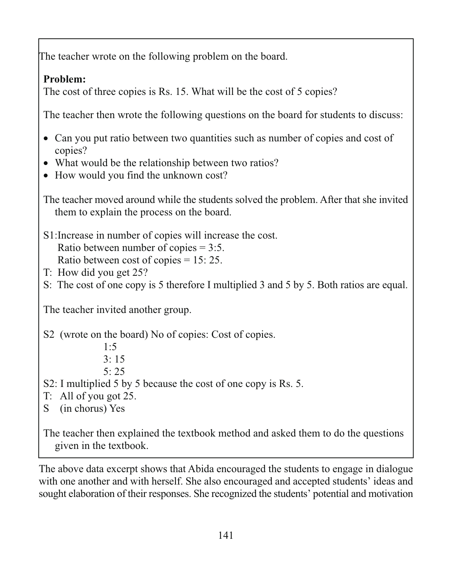The teacher wrote on the following problem on the board.

#### Problem:

The cost of three copies is Rs. 15. What will be the cost of 5 copies?

The teacher then wrote the following questions on the board for students to discuss:

- Can you put ratio between two quantities such as number of copies and cost of copies?
- What would be the relationship between two ratios?
- How would you find the unknown cost?

The teacher moved around while the students solved the problem. After that she invited them to explain the process on the board.

- S1: Increase in number of copies will increase the cost. Ratio between number of copies  $= 3:5$ . Ratio between cost of copies  $= 15: 25$ .
- T: How did you get 25?
- S: The cost of one copy is 5 therefore I multiplied 3 and 5 by 5. Both ratios are equal.

The teacher invited another group.

S2 (wrote on the board) No of copies: Cost of copies.

 $1:5$  $3.15$ 

- $5:25$
- S2: I multiplied 5 by 5 because the cost of one copy is Rs. 5.
- $T:$  All of you got 25.
- S (in chorus) Yes

The teacher then explained the textbook method and asked them to do the questions given in the textbook.

The above data excerpt shows that Abida encouraged the students to engage in dialogue with one another and with herself. She also encouraged and accepted students' ideas and sought elaboration of their responses. She recognized the students' potential and motivation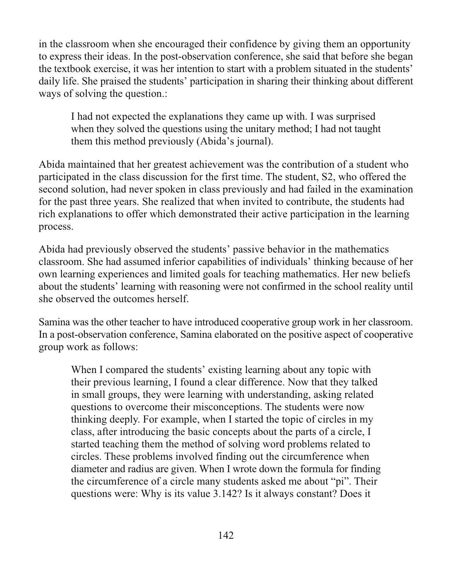in the classroom when she encouraged their confidence by giving them an opportunity to express their ideas. In the post-observation conference, she said that before she began the textbook exercise, it was her intention to start with a problem situated in the students' daily life. She praised the students' participation in sharing their thinking about different ways of solving the question.:

I had not expected the explanations they came up with. I was surprised when they solved the questions using the unitary method; I had not taught them this method previously (Abida's journal).

Abida maintained that her greatest achievement was the contribution of a student who participated in the class discussion for the first time. The student, S2, who offered the second solution, had never spoken in class previously and had failed in the examination for the past three years. She realized that when invited to contribute, the students had rich explanations to offer which demonstrated their active participation in the learning process.

Abida had previously observed the students' passive behavior in the mathematics classroom. She had assumed inferior capabilities of individuals' thinking because of her own learning experiences and limited goals for teaching mathematics. Her new beliefs about the students' learning with reasoning were not confirmed in the school reality until she observed the outcomes herself.

Samina was the other teacher to have introduced cooperative group work in her classroom. In a post-observation conference, Samina elaborated on the positive aspect of cooperative group work as follows:

When I compared the students' existing learning about any topic with their previous learning, I found a clear difference. Now that they talked in small groups, they were learning with understanding, asking related questions to overcome their misconceptions. The students were now thinking deeply. For example, when I started the topic of circles in my class, after introducing the basic concepts about the parts of a circle, I started teaching them the method of solving word problems related to circles. These problems involved finding out the circumference when diameter and radius are given. When I wrote down the formula for finding the circumference of a circle many students asked me about "pi". Their questions were: Why is its value 3.142? Is it always constant? Does it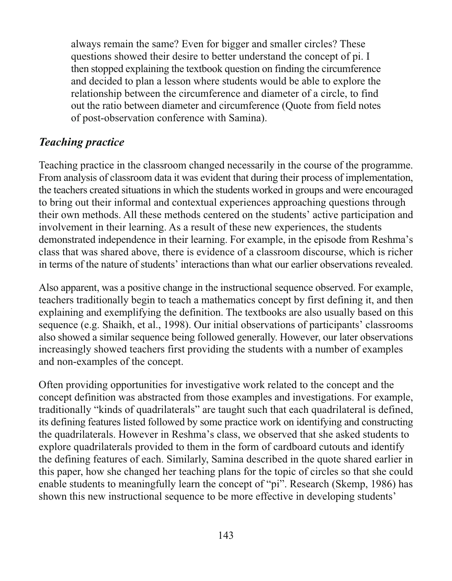always remain the same? Even for bigger and smaller circles? These questions showed their desire to better understand the concept of pi. I then stopped explaining the textbook question on finding the circumference and decided to plan a lesson where students would be able to explore the relationship between the circumference and diameter of a circle, to find out the ratio between diameter and circumference (Quote from field notes of post-observation conference with Samina).

#### **Teaching practice**

Teaching practice in the classroom changed necessarily in the course of the programme. From analysis of classroom data it was evident that during their process of implementation, the teachers created situations in which the students worked in groups and were encouraged to bring out their informal and contextual experiences approaching questions through their own methods. All these methods centered on the students' active participation and involvement in their learning. As a result of these new experiences, the students demonstrated independence in their learning. For example, in the episode from Reshma's class that was shared above, there is evidence of a classroom discourse, which is richer in terms of the nature of students' interactions than what our earlier observations revealed.

Also apparent, was a positive change in the instructional sequence observed. For example, teachers traditionally begin to teach a mathematics concept by first defining it, and then explaining and exemplifying the definition. The textbooks are also usually based on this sequence (e.g. Shaikh, et al., 1998). Our initial observations of participants' classrooms also showed a similar sequence being followed generally. However, our later observations increasingly showed teachers first providing the students with a number of examples and non-examples of the concept.

Often providing opportunities for investigative work related to the concept and the concept definition was abstracted from those examples and investigations. For example, traditionally "kinds of quadrilaterals" are taught such that each quadrilateral is defined, its defining features listed followed by some practice work on identifying and constructing the quadrilaterals. However in Reshma's class, we observed that she asked students to explore quadrilaterals provided to them in the form of cardboard cutouts and identify the defining features of each. Similarly, Samina described in the quote shared earlier in this paper, how she changed her teaching plans for the topic of circles so that she could enable students to meaningfully learn the concept of "pi". Research (Skemp, 1986) has shown this new instructional sequence to be more effective in developing students'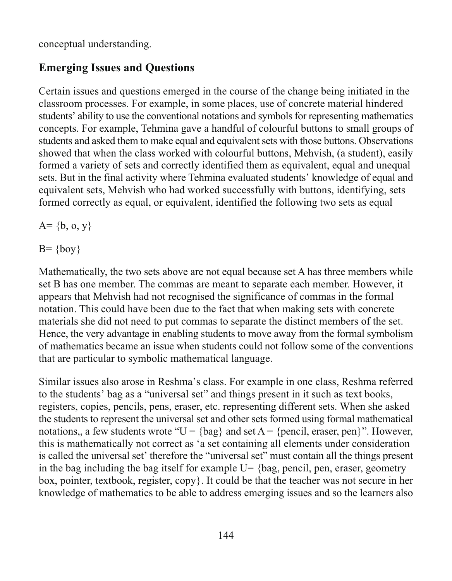conceptual understanding.

#### **Emerging Issues and Ouestions**

Certain issues and questions emerged in the course of the change being initiated in the classroom processes. For example, in some places, use of concrete material hindered students' ability to use the conventional notations and symbols for representing mathematics concepts. For example, Tehmina gave a handful of colourful buttons to small groups of students and asked them to make equal and equivalent sets with those buttons. Observations showed that when the class worked with colourful buttons, Mehvish, (a student), easily formed a variety of sets and correctly identified them as equivalent, equal and unequal sets. But in the final activity where Tehmina evaluated students' knowledge of equal and equivalent sets, Mehvish who had worked successfully with buttons, identifying, sets formed correctly as equal, or equivalent, identified the following two sets as equal

 $A = \{b, 0, y\}$ 

 $B = \{boy\}$ 

Mathematically, the two sets above are not equal because set A has three members while set B has one member. The commas are meant to separate each member. However, it appears that Mehvish had not recognised the significance of commas in the formal notation. This could have been due to the fact that when making sets with concrete materials she did not need to put commas to separate the distinct members of the set. Hence, the very advantage in enabling students to move away from the formal symbolism of mathematics became an issue when students could not follow some of the conventions that are particular to symbolic mathematical language.

Similar issues also arose in Reshma's class. For example in one class, Reshma referred to the students' bag as a "universal set" and things present in it such as text books, registers, copies, pencils, pens, eraser, etc. representing different sets. When she asked the students to represent the universal set and other sets formed using formal mathematical notations, a few students wrote " $U = \{bag\}$  and set  $A = \{pencil, eraser, pen\}$ ". However, this is mathematically not correct as 'a set containing all elements under consideration is called the universal set' therefore the "universal set" must contain all the things present in the bag including the bag itself for example  $U = \{\text{bag, pencil, pen, eraser, geometry}\}$ box, pointer, textbook, register, copy. It could be that the teacher was not secure in her knowledge of mathematics to be able to address emerging issues and so the learners also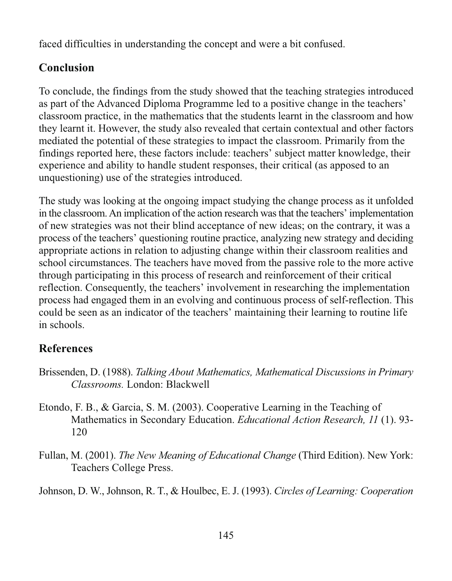faced difficulties in understanding the concept and were a bit confused.

#### **Conclusion**

To conclude, the findings from the study showed that the teaching strategies introduced as part of the Advanced Diploma Programme led to a positive change in the teachers' classroom practice, in the mathematics that the students learnt in the classroom and how they learnt it. However, the study also revealed that certain contextual and other factors mediated the potential of these strategies to impact the classroom. Primarily from the findings reported here, these factors include: teachers' subject matter knowledge, their experience and ability to handle student responses, their critical (as apposed to an unquestioning) use of the strategies introduced.

The study was looking at the ongoing impact studying the change process as it unfolded in the classroom. An implication of the action research was that the teachers' implementation of new strategies was not their blind acceptance of new ideas; on the contrary, it was a process of the teachers' questioning routine practice, analyzing new strategy and deciding appropriate actions in relation to adjusting change within their classroom realities and school circumstances. The teachers have moved from the passive role to the more active through participating in this process of research and reinforcement of their critical reflection. Consequently, the teachers' involvement in researching the implementation process had engaged them in an evolving and continuous process of self-reflection. This could be seen as an indicator of the teachers' maintaining their learning to routine life in schools.

### **References**

- Brissenden, D. (1988). Talking About Mathematics, Mathematical Discussions in Primary Classrooms. London: Blackwell
- Etondo, F. B., & Garcia, S. M. (2003). Cooperative Learning in the Teaching of Mathematics in Secondary Education. *Educational Action Research*, 11 (1). 93-120
- Fullan, M. (2001). The New Meaning of Educational Change (Third Edition). New York: Teachers College Press.

Johnson, D. W., Johnson, R. T., & Houlbec, E. J. (1993). Circles of Learning: Cooperation